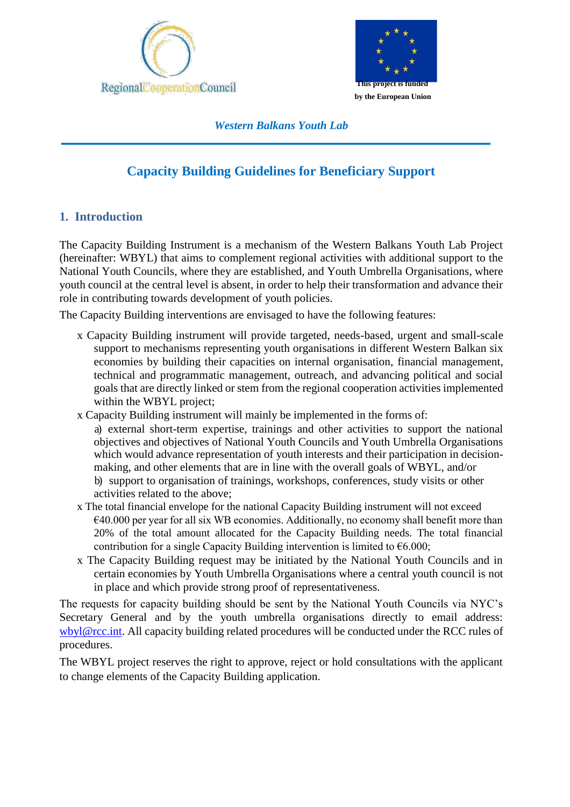



*Western Balkans Youth Lab*

# **Capacity Building Guidelines for Beneficiary Support**

# **1. Introduction**

The Capacity Building Instrument is a mechanism of the Western Balkans Youth Lab Project (hereinafter: WBYL) that aims to complement regional activities with additional support to the National Youth Councils, where they are established, and Youth Umbrella Organisations, where youth council at the central level is absent, in order to help their transformation and advance their role in contributing towards development of youth policies.

The Capacity Building interventions are envisaged to have the following features:

- x Capacity Building instrument will provide targeted, needs-based, urgent and small-scale support to mechanisms representing youth organisations in different Western Balkan six economies by building their capacities on internal organisation, financial management, technical and programmatic management, outreach, and advancing political and social goals that are directly linked or stem from the regional cooperation activities implemented within the WBYL project;
- x Capacity Building instrument will mainly be implemented in the forms of: a) external short-term expertise, trainings and other activities to support the national objectives and objectives of National Youth Councils and Youth Umbrella Organisations which would advance representation of youth interests and their participation in decisionmaking, and other elements that are in line with the overall goals of WBYL, and/or b) support to organisation of trainings, workshops, conferences, study visits or other activities related to the above;
- x The total financial envelope for the national Capacity Building instrument will not exceed €40.000 per year for all six WB economies. Additionally, no economy shall benefit more than 20% of the total amount allocated for the Capacity Building needs. The total financial contribution for a single Capacity Building intervention is limited to  $\epsilon$ 6.000;
- x The Capacity Building request may be initiated by the National Youth Councils and in certain economies by Youth Umbrella Organisations where a central youth council is not in place and which provide strong proof of representativeness.

The requests for capacity building should be sent by the National Youth Councils via NYC's Secretary General and by the youth umbrella organisations directly to email address: [wbyl@rcc.int. A](mailto:youthlabcb@rcc.int)ll capacity building related procedures will be conducted under the RCC rules of procedures.

The WBYL project reserves the right to approve, reject or hold consultations with the applicant to change elements of the Capacity Building application.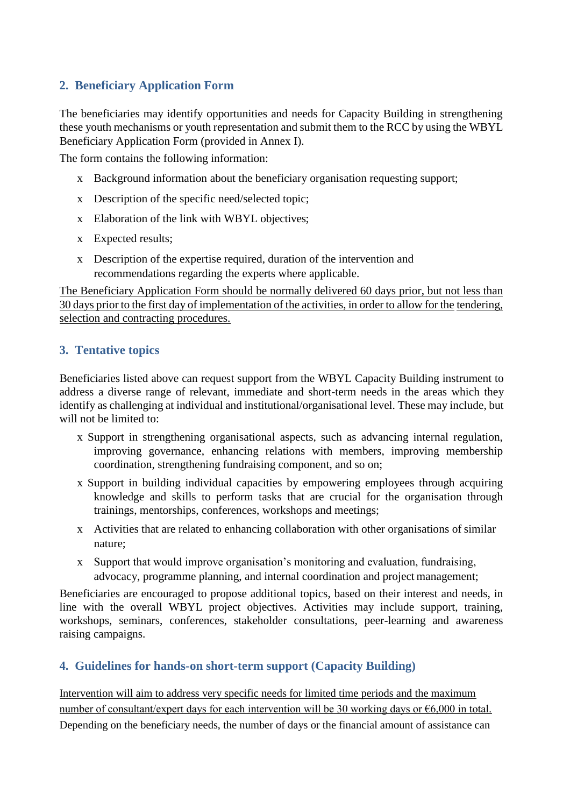# **2. Beneficiary Application Form**

The beneficiaries may identify opportunities and needs for Capacity Building in strengthening these youth mechanisms or youth representation and submit them to the RCC by using the WBYL Beneficiary Application Form (provided in Annex I).

The form contains the following information:

- x Background information about the beneficiary organisation requesting support;
- x Description of the specific need/selected topic;
- x Elaboration of the link with WBYL objectives;
- x Expected results;
- x Description of the expertise required, duration of the intervention and recommendations regarding the experts where applicable.

The Beneficiary Application Form should be normally delivered 60 days prior, but not less than 30 days prior to the first day of implementation of the activities, in order to allow for the tendering, selection and contracting procedures.

# **3. Tentative topics**

Beneficiaries listed above can request support from the WBYL Capacity Building instrument to address a diverse range of relevant, immediate and short-term needs in the areas which they identify as challenging at individual and institutional/organisational level. These may include, but will not be limited to:

- x Support in strengthening organisational aspects, such as advancing internal regulation, improving governance, enhancing relations with members, improving membership coordination, strengthening fundraising component, and so on;
- x Support in building individual capacities by empowering employees through acquiring knowledge and skills to perform tasks that are crucial for the organisation through trainings, mentorships, conferences, workshops and meetings;
- x Activities that are related to enhancing collaboration with other organisations of similar nature;
- x Support that would improve organisation's monitoring and evaluation, fundraising, advocacy, programme planning, and internal coordination and project management;

Beneficiaries are encouraged to propose additional topics, based on their interest and needs, in line with the overall WBYL project objectives. Activities may include support, training, workshops, seminars, conferences, stakeholder consultations, peer-learning and awareness raising campaigns.

# **4. Guidelines for hands-on short-term support (Capacity Building)**

Intervention will aim to address very specific needs for limited time periods and the maximum number of consultant/expert days for each intervention will be 30 working days or €6,000 in total. Depending on the beneficiary needs, the number of days or the financial amount of assistance can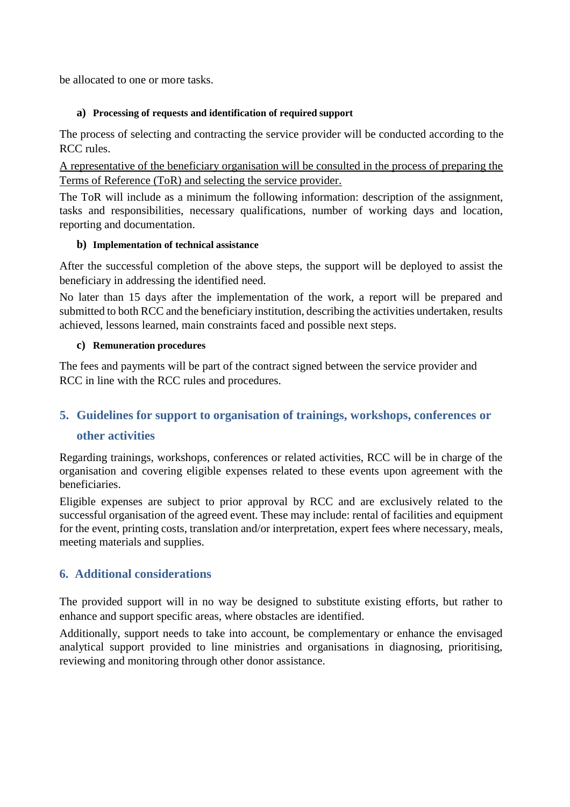be allocated to one or more tasks.

### **a) Processing of requests and identification of required support**

The process of selecting and contracting the service provider will be conducted according to the RCC rules.

A representative of the beneficiary organisation will be consulted in the process of preparing the Terms of Reference (ToR) and selecting the service provider.

The ToR will include as a minimum the following information: description of the assignment, tasks and responsibilities, necessary qualifications, number of working days and location, reporting and documentation.

## **b) Implementation of technical assistance**

After the successful completion of the above steps, the support will be deployed to assist the beneficiary in addressing the identified need.

No later than 15 days after the implementation of the work, a report will be prepared and submitted to both RCC and the beneficiary institution, describing the activities undertaken, results achieved, lessons learned, main constraints faced and possible next steps.

### **c) Remuneration procedures**

The fees and payments will be part of the contract signed between the service provider and RCC in line with the RCC rules and procedures.

# **5. Guidelines for support to organisation of trainings, workshops, conferences or**

## **other activities**

Regarding trainings, workshops, conferences or related activities, RCC will be in charge of the organisation and covering eligible expenses related to these events upon agreement with the beneficiaries.

Eligible expenses are subject to prior approval by RCC and are exclusively related to the successful organisation of the agreed event. These may include: rental of facilities and equipment for the event, printing costs, translation and/or interpretation, expert fees where necessary, meals, meeting materials and supplies.

# **6. Additional considerations**

The provided support will in no way be designed to substitute existing efforts, but rather to enhance and support specific areas, where obstacles are identified.

Additionally, support needs to take into account, be complementary or enhance the envisaged analytical support provided to line ministries and organisations in diagnosing, prioritising, reviewing and monitoring through other donor assistance.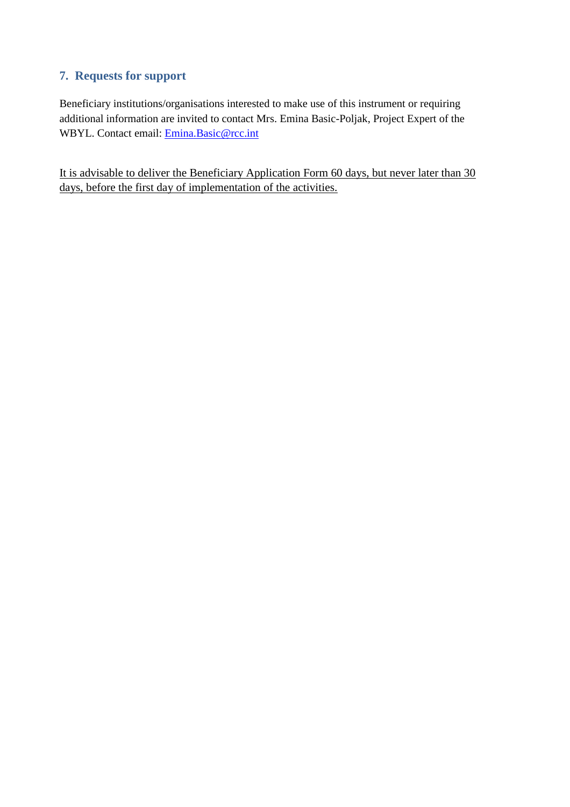# **7. Requests for support**

Beneficiary institutions/organisations interested to make use of this instrument or requiring additional information are invited to contact Mrs. Emina Basic-Poljak, Project Expert of the WBYL. Contact email: [Emina.Basic@rcc.int](mailto:Emina.Basic@rcc.int)

It is advisable to deliver the Beneficiary Application Form 60 days, but never later than 30 days, before the first day of implementation of the activities.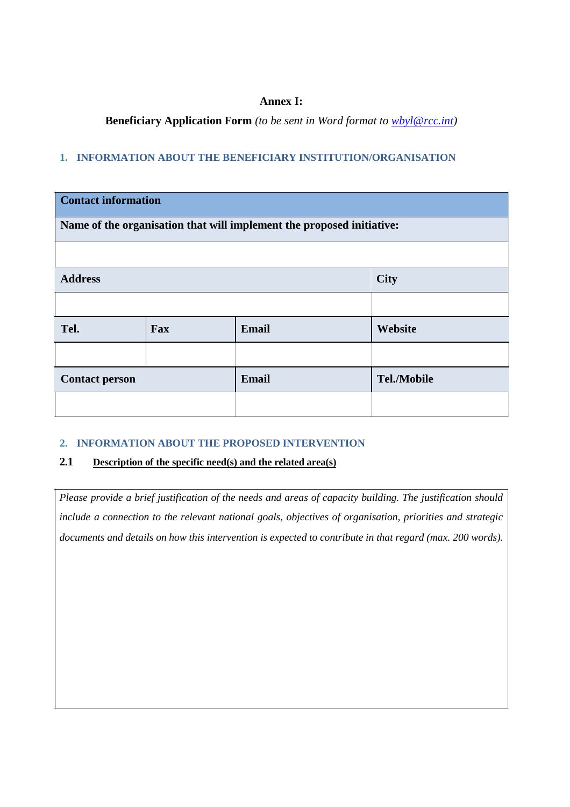### **Annex I:**

**Beneficiary Application Form** *(to be sent in Word format to [wbyl@rcc.int\)](mailto:wbyl@rcc.int)*

#### **1. INFORMATION ABOUT THE BENEFICIARY INSTITUTION/ORGANISATION**

| <b>Contact information</b>                                            |     |              |                    |  |  |  |
|-----------------------------------------------------------------------|-----|--------------|--------------------|--|--|--|
| Name of the organisation that will implement the proposed initiative: |     |              |                    |  |  |  |
|                                                                       |     |              |                    |  |  |  |
| <b>Address</b>                                                        |     |              | <b>City</b>        |  |  |  |
|                                                                       |     |              |                    |  |  |  |
| Tel.                                                                  | Fax | <b>Email</b> | Website            |  |  |  |
|                                                                       |     |              |                    |  |  |  |
| <b>Contact person</b>                                                 |     | <b>Email</b> | <b>Tel./Mobile</b> |  |  |  |
|                                                                       |     |              |                    |  |  |  |

#### **2. INFORMATION ABOUT THE PROPOSED INTERVENTION**

## **2.1 Description of the specific need(s) and the related area(s)**

*Please provide a brief justification of the needs and areas of capacity building. The justification should include a connection to the relevant national goals, objectives of organisation, priorities and strategic documents and details on how this intervention is expected to contribute in that regard (max. 200 words).*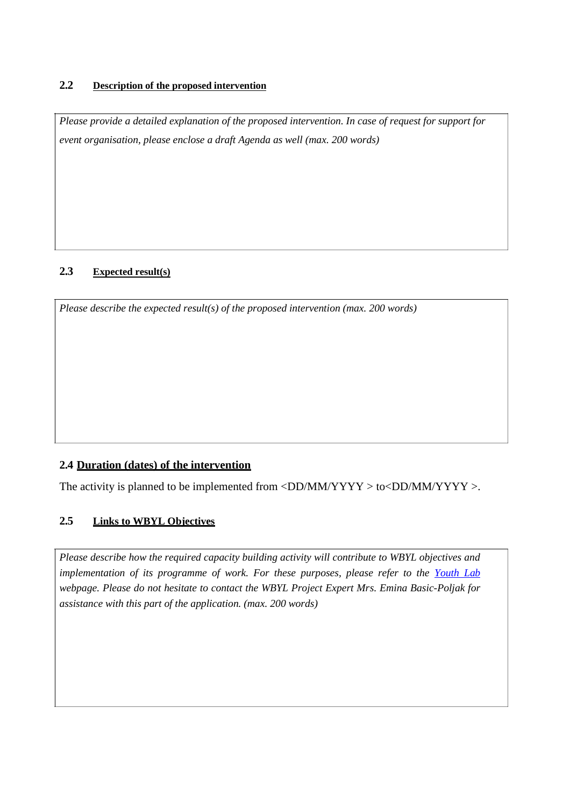### **2.2 Description of the proposed intervention**

*Please provide a detailed explanation of the proposed intervention. In case of request for support for event organisation, please enclose a draft Agenda as well (max. 200 words)*

## **2.3 Expected result(s)**

*Please describe the expected result(s) of the proposed intervention (max. 200 words)*

## **2.4 Duration (dates) of the intervention**

The activity is planned to be implemented from  $\langle DD/MM/YYYY \rangle$  to  $\langle DD/MM/YYYY \rangle$ .

## **2.5 Links to WBYL Objectives**

*Please describe how the required capacity building activity will contribute to WBYL objectives and implementation of its programme of work. For these purposes, please refer to the [Youth Lab](https://www.rcc.int/youthlab) webpage. Please do not hesitate to contact the WBYL Project Expert Mrs. Emina Basic-Poljak for assistance with this part of the application. (max. 200 words)*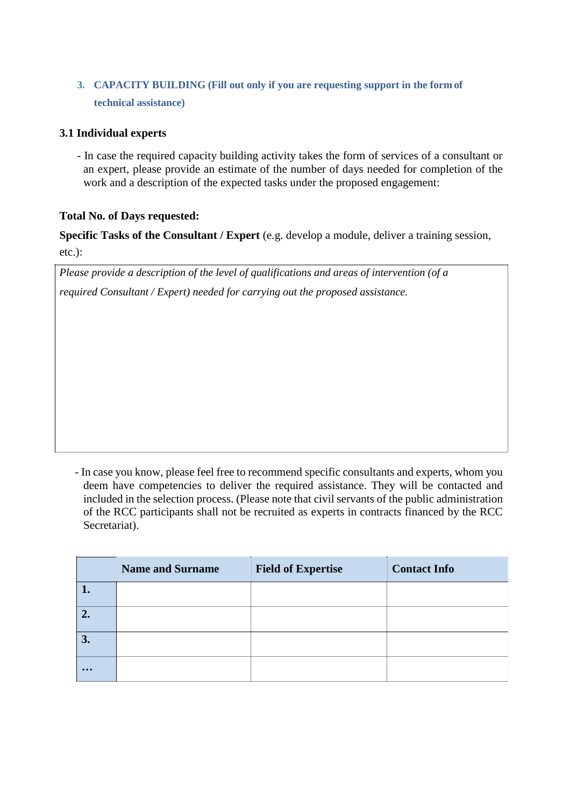# **3. CAPACITY BUILDING (Fill out only if you are requesting support in the form of technical assistance)**

# **3.1 Individual experts**

- In case the required capacity building activity takes the form of services of a consultant or an expert, please provide an estimate of the number of days needed for completion of the work and a description of the expected tasks under the proposed engagement:

## **Total No. of Days requested:**

**Specific Tasks of the Consultant / Expert** (e.g. develop a module, deliver a training session, etc.):

*Please provide a description of the level of qualifications and areas of intervention (of a required Consultant / Expert) needed for carrying out the proposed assistance.*

- In case you know, please feel free to recommend specific consultants and experts, whom you deem have competencies to deliver the required assistance. They will be contacted and included in the selection process. (Please note that civil servants of the public administration of the RCC participants shall not be recruited as experts in contracts financed by the RCC Secretariat).

|                         | <b>Name and Surname</b> | <b>Field of Expertise</b> | <b>Contact Info</b> |
|-------------------------|-------------------------|---------------------------|---------------------|
|                         |                         |                           |                     |
|                         |                         |                           |                     |
| 3.                      |                         |                           |                     |
| $\bullet\bullet\bullet$ |                         |                           |                     |